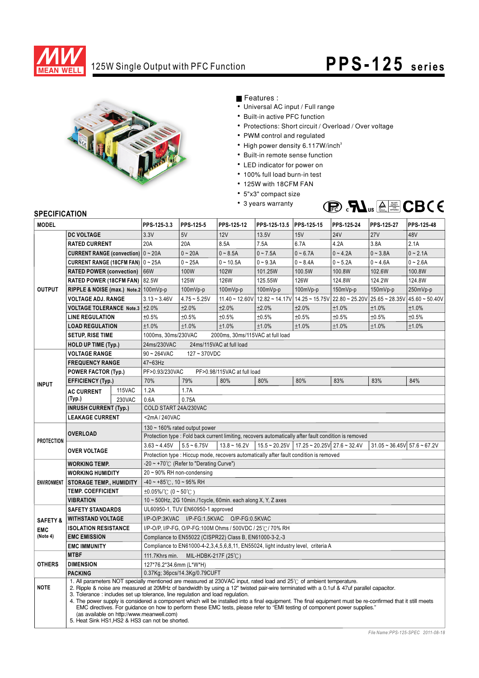

## 125W Single Output with PFC Function **PPS- 125 series**



Features :

- Universal AC input / Full range
- Built-in active PFC function
- Protections: Short circuit / Overload / Over voltage
- PWM control and regulated
- High power density 6.117W/inch<sup>3</sup>
- Built-in remote sense function
- LED indicator for power on
- 100% full load burn-in test
- 125W with 18CFM FAN
- 5"x3" compact size
- 3 years warranty



## **SPECIFICATION**

| <b>MODEL</b>        |                                                                                                                                                                                                                                                                                                                                                                                                                                                                                                                                                                                                                                                                                                                                              | PPS-125-3.3 | PPS-125-5                                                                                             | PPS-125-12     | PPS-125-13.5 PPS-125-15     |            | PPS-125-24                                                            | PPS-125-27 | PPS-125-48                                                                                                                                                                                |            |
|---------------------|----------------------------------------------------------------------------------------------------------------------------------------------------------------------------------------------------------------------------------------------------------------------------------------------------------------------------------------------------------------------------------------------------------------------------------------------------------------------------------------------------------------------------------------------------------------------------------------------------------------------------------------------------------------------------------------------------------------------------------------------|-------------|-------------------------------------------------------------------------------------------------------|----------------|-----------------------------|------------|-----------------------------------------------------------------------|------------|-------------------------------------------------------------------------------------------------------------------------------------------------------------------------------------------|------------|
| <b>DC VOLTAGE</b>   |                                                                                                                                                                                                                                                                                                                                                                                                                                                                                                                                                                                                                                                                                                                                              | 3.3V        | 5V                                                                                                    | 12V            | 13.5V                       | 15V        | <b>24V</b>                                                            | <b>27V</b> | 48V                                                                                                                                                                                       |            |
| <b>OUTPUT</b>       | <b>RATED CURRENT</b>                                                                                                                                                                                                                                                                                                                                                                                                                                                                                                                                                                                                                                                                                                                         |             | 20A                                                                                                   | 20A            | 8.5A                        | 7.5A       | 6.7A                                                                  | 4.2A       | 3.8A                                                                                                                                                                                      | 2.1A       |
|                     | <b>CURRENT RANGE (convection)</b>                                                                                                                                                                                                                                                                                                                                                                                                                                                                                                                                                                                                                                                                                                            |             | $0 - 20A$                                                                                             | $0 - 20A$      | $0 - 8.5A$                  | $0 - 7.5A$ | $0 - 6.7A$                                                            | $0 - 4.2A$ | $0 - 3.8A$                                                                                                                                                                                | $0 - 2.1A$ |
|                     | <b>CURRENT RANGE (18CFM FAN)</b>                                                                                                                                                                                                                                                                                                                                                                                                                                                                                                                                                                                                                                                                                                             |             | $0 - 25A$                                                                                             | $0 \sim 25A$   | $0 - 10.5A$                 | $0 - 9.3A$ | $0 - 8.4A$                                                            | $0 - 5.2A$ | $0 - 4.6A$                                                                                                                                                                                | $0 - 2.6A$ |
|                     | <b>RATED POWER (convection)</b>                                                                                                                                                                                                                                                                                                                                                                                                                                                                                                                                                                                                                                                                                                              |             | 66W                                                                                                   | 100W           | 102W                        | 101.25W    | 100.5W                                                                | 100.8W     | 102.6W                                                                                                                                                                                    | 100.8W     |
|                     | <b>RATED POWER (18CFM FAN)</b>                                                                                                                                                                                                                                                                                                                                                                                                                                                                                                                                                                                                                                                                                                               |             | 82.5W                                                                                                 | <b>125W</b>    | <b>126W</b>                 | 125.55W    | <b>126W</b>                                                           | 124.8W     | 124.2W                                                                                                                                                                                    | 124.8W     |
|                     | RIPPLE & NOISE (max.) Note.2 100mVp-p                                                                                                                                                                                                                                                                                                                                                                                                                                                                                                                                                                                                                                                                                                        |             |                                                                                                       | 100mVp-p       | 100mVp-p                    | 100mVp-p   | 100mVp-p                                                              | 150mVp-p   | 150mVp-p                                                                                                                                                                                  | 250mVp-p   |
|                     | <b>VOLTAGE ADJ. RANGE</b>                                                                                                                                                                                                                                                                                                                                                                                                                                                                                                                                                                                                                                                                                                                    |             | $3.13 - 3.46V$                                                                                        | $4.75 - 5.25V$ |                             |            |                                                                       |            | $11.40 \approx 12.60 \text{V}$ $12.82 \approx 14.17 \text{V}$ $14.25 \approx 15.75 \text{V}$ $22.80 \approx 25.20 \text{V}$ $25.65 \approx 28.35 \text{V}$ $45.60 \approx 50.40 \text{V}$ |            |
|                     | <b>VOLTAGE TOLERANCE Note.3</b>                                                                                                                                                                                                                                                                                                                                                                                                                                                                                                                                                                                                                                                                                                              |             | ±2.0%                                                                                                 | ±2.0%          | ±2.0%                       | ±2.0%      | ±2.0%                                                                 | ±1.0%      | ±1.0%                                                                                                                                                                                     | ±1.0%      |
|                     | <b>LINE REGULATION</b>                                                                                                                                                                                                                                                                                                                                                                                                                                                                                                                                                                                                                                                                                                                       |             | ±0.5%                                                                                                 | ±0.5%          | ±0.5%                       | ±0.5%      | ±0.5%                                                                 | ±0.5%      | ±0.5%                                                                                                                                                                                     | ±0.5%      |
|                     | <b>LOAD REGULATION</b>                                                                                                                                                                                                                                                                                                                                                                                                                                                                                                                                                                                                                                                                                                                       |             | ±1.0%                                                                                                 | ±1.0%          | ±1.0%                       | ±1.0%      | ±1.0%                                                                 | ±1.0%      | ±1.0%                                                                                                                                                                                     | ±1.0%      |
|                     | <b>SETUP, RISE TIME</b>                                                                                                                                                                                                                                                                                                                                                                                                                                                                                                                                                                                                                                                                                                                      |             | 1000ms, 30ms/230VAC<br>2000ms, 30ms/115VAC at full load                                               |                |                             |            |                                                                       |            |                                                                                                                                                                                           |            |
|                     | <b>HOLD UP TIME (Typ.)</b>                                                                                                                                                                                                                                                                                                                                                                                                                                                                                                                                                                                                                                                                                                                   |             | 24ms/230VAC<br>24ms/115VAC at full load                                                               |                |                             |            |                                                                       |            |                                                                                                                                                                                           |            |
|                     | <b>VOLTAGE RANGE</b>                                                                                                                                                                                                                                                                                                                                                                                                                                                                                                                                                                                                                                                                                                                         |             | $90 - 264$ VAC<br>$127 - 370$ VDC                                                                     |                |                             |            |                                                                       |            |                                                                                                                                                                                           |            |
| <b>INPUT</b>        | <b>FREQUENCY RANGE</b>                                                                                                                                                                                                                                                                                                                                                                                                                                                                                                                                                                                                                                                                                                                       |             | 47~63Hz                                                                                               |                |                             |            |                                                                       |            |                                                                                                                                                                                           |            |
|                     | <b>POWER FACTOR (Typ.)</b>                                                                                                                                                                                                                                                                                                                                                                                                                                                                                                                                                                                                                                                                                                                   |             | PF>0.93/230VAC                                                                                        |                | PF>0.98/115VAC at full load |            |                                                                       |            |                                                                                                                                                                                           |            |
|                     | <b>EFFICIENCY (Typ.)</b>                                                                                                                                                                                                                                                                                                                                                                                                                                                                                                                                                                                                                                                                                                                     |             | 70%                                                                                                   | 79%            | 80%                         | 80%        | 80%                                                                   | 83%        | 83%                                                                                                                                                                                       | 84%        |
|                     | <b>AC CURRENT</b>                                                                                                                                                                                                                                                                                                                                                                                                                                                                                                                                                                                                                                                                                                                            | 115VAC      | 1.2A                                                                                                  | 1.7A           |                             |            |                                                                       |            |                                                                                                                                                                                           |            |
|                     | (Typ.)                                                                                                                                                                                                                                                                                                                                                                                                                                                                                                                                                                                                                                                                                                                                       | 230VAC      | 0.6A<br>0.75A                                                                                         |                |                             |            |                                                                       |            |                                                                                                                                                                                           |            |
|                     | <b>INRUSH CURRENT (Typ.)</b>                                                                                                                                                                                                                                                                                                                                                                                                                                                                                                                                                                                                                                                                                                                 |             | COLD START 24A/230VAC                                                                                 |                |                             |            |                                                                       |            |                                                                                                                                                                                           |            |
|                     | <b>LEAKAGE CURRENT</b>                                                                                                                                                                                                                                                                                                                                                                                                                                                                                                                                                                                                                                                                                                                       |             | <2mA/240VAC                                                                                           |                |                             |            |                                                                       |            |                                                                                                                                                                                           |            |
| <b>PROTECTION</b>   | <b>OVERLOAD</b><br><b>OVER VOLTAGE</b>                                                                                                                                                                                                                                                                                                                                                                                                                                                                                                                                                                                                                                                                                                       |             | 130 $\sim$ 160% rated output power                                                                    |                |                             |            |                                                                       |            |                                                                                                                                                                                           |            |
|                     |                                                                                                                                                                                                                                                                                                                                                                                                                                                                                                                                                                                                                                                                                                                                              |             | Protection type : Fold back current limiting, recovers automatically after fault condition is removed |                |                             |            |                                                                       |            |                                                                                                                                                                                           |            |
|                     |                                                                                                                                                                                                                                                                                                                                                                                                                                                                                                                                                                                                                                                                                                                                              |             | $3.63 - 4.45V$                                                                                        | $5.5 - 6.75V$  | $13.8 - 16.2V$              |            | $15.5 \approx 20.25V$   17.25 $\approx$ 20.25V   27.6 $\approx$ 32.4V |            | $31.05 \approx 36.45 \text{V}$ 57.6 $\approx 67.2 \text{V}$                                                                                                                               |            |
|                     |                                                                                                                                                                                                                                                                                                                                                                                                                                                                                                                                                                                                                                                                                                                                              |             | Protection type : Hiccup mode, recovers automatically after fault condition is removed                |                |                             |            |                                                                       |            |                                                                                                                                                                                           |            |
|                     | <b>WORKING TEMP.</b>                                                                                                                                                                                                                                                                                                                                                                                                                                                                                                                                                                                                                                                                                                                         |             | -20 ~ +70 $\degree$ C (Refer to "Derating Curve")                                                     |                |                             |            |                                                                       |            |                                                                                                                                                                                           |            |
|                     | <b>WORKING HUMIDITY</b>                                                                                                                                                                                                                                                                                                                                                                                                                                                                                                                                                                                                                                                                                                                      |             | 20~90% RH non-condensing                                                                              |                |                             |            |                                                                       |            |                                                                                                                                                                                           |            |
| <b>ENVIRONMENT</b>  | <b>STORAGE TEMP., HUMIDITY</b>                                                                                                                                                                                                                                                                                                                                                                                                                                                                                                                                                                                                                                                                                                               |             | $-40 \sim +85^{\circ}$ C, 10 ~ 95% RH                                                                 |                |                             |            |                                                                       |            |                                                                                                                                                                                           |            |
|                     | <b>TEMP. COEFFICIENT</b>                                                                                                                                                                                                                                                                                                                                                                                                                                                                                                                                                                                                                                                                                                                     |             | $\pm 0.05\%$ (0 ~ 50°C)                                                                               |                |                             |            |                                                                       |            |                                                                                                                                                                                           |            |
|                     | <b>VIBRATION</b>                                                                                                                                                                                                                                                                                                                                                                                                                                                                                                                                                                                                                                                                                                                             |             | 10 ~ 500Hz, 2G 10min./1cycle, 60min. each along X, Y, Z axes                                          |                |                             |            |                                                                       |            |                                                                                                                                                                                           |            |
|                     | <b>SAFETY STANDARDS</b>                                                                                                                                                                                                                                                                                                                                                                                                                                                                                                                                                                                                                                                                                                                      |             | UL60950-1, TUV EN60950-1 approved                                                                     |                |                             |            |                                                                       |            |                                                                                                                                                                                           |            |
| <b>SAFETY &amp;</b> | <b>WITHSTAND VOLTAGE</b>                                                                                                                                                                                                                                                                                                                                                                                                                                                                                                                                                                                                                                                                                                                     |             | I/P-O/P:3KVAC I/P-FG:1.5KVAC O/P-FG:0.5KVAC                                                           |                |                             |            |                                                                       |            |                                                                                                                                                                                           |            |
| <b>EMC</b>          | <b>ISOLATION RESISTANCE</b>                                                                                                                                                                                                                                                                                                                                                                                                                                                                                                                                                                                                                                                                                                                  |             | I/P-O/P, I/P-FG, O/P-FG:100M Ohms / 500VDC / 25℃/ 70% RH                                              |                |                             |            |                                                                       |            |                                                                                                                                                                                           |            |
| (Note 4)            | <b>EMC EMISSION</b>                                                                                                                                                                                                                                                                                                                                                                                                                                                                                                                                                                                                                                                                                                                          |             | Compliance to EN55022 (CISPR22) Class B, EN61000-3-2,-3                                               |                |                             |            |                                                                       |            |                                                                                                                                                                                           |            |
|                     | <b>EMC IMMUNITY</b>                                                                                                                                                                                                                                                                                                                                                                                                                                                                                                                                                                                                                                                                                                                          |             | Compliance to EN61000-4-2,3,4,5,6,8,11, EN55024, light industry level, criteria A                     |                |                             |            |                                                                       |            |                                                                                                                                                                                           |            |
| <b>OTHERS</b>       | <b>MTBF</b>                                                                                                                                                                                                                                                                                                                                                                                                                                                                                                                                                                                                                                                                                                                                  |             | 111.7Khrs min.<br>MIL-HDBK-217F (25 $\degree$ C)                                                      |                |                             |            |                                                                       |            |                                                                                                                                                                                           |            |
|                     | <b>DIMENSION</b>                                                                                                                                                                                                                                                                                                                                                                                                                                                                                                                                                                                                                                                                                                                             |             | 127*76.2*34.6mm (L*W*H)                                                                               |                |                             |            |                                                                       |            |                                                                                                                                                                                           |            |
|                     | <b>PACKING</b>                                                                                                                                                                                                                                                                                                                                                                                                                                                                                                                                                                                                                                                                                                                               |             | 0.37Kg; 36pcs/14.3Kg/0.79CUFT                                                                         |                |                             |            |                                                                       |            |                                                                                                                                                                                           |            |
| <b>NOTE</b>         | 1. All parameters NOT specially mentioned are measured at 230VAC input, rated load and 25°C of ambient temperature.<br>2. Ripple & noise are measured at 20MHz of bandwidth by using a 12" twisted pair-wire terminated with a 0.1uf & 47uf parallel capacitor.<br>3. Tolerance: includes set up tolerance, line regulation and load regulation.<br>4. The power supply is considered a component which will be installed into a final equipment. The final equipment must be re-confirmed that it still meets<br>EMC directives. For guidance on how to perform these EMC tests, please refer to "EMI testing of component power supplies."<br>(as available on http://www.meanwell.com)<br>5. Heat Sink HS1, HS2 & HS3 can not be shorted. |             |                                                                                                       |                |                             |            |                                                                       |            |                                                                                                                                                                                           |            |